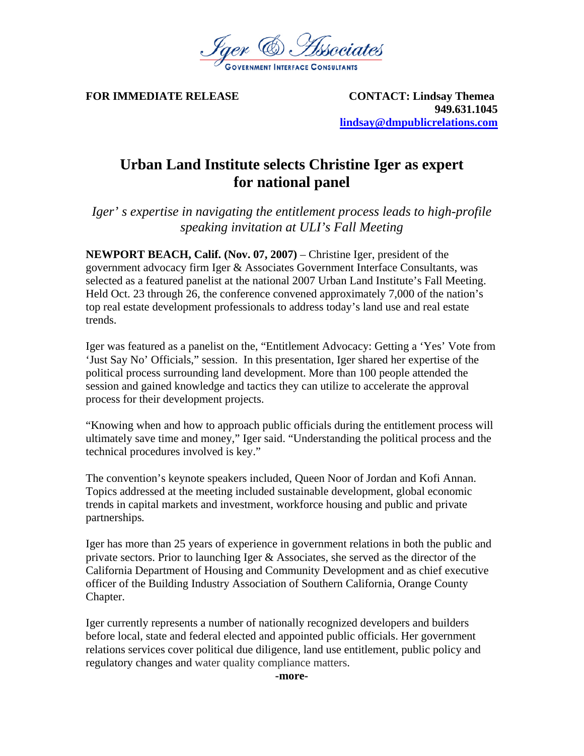

**FOR IMMEDIATE RELEASE CONTACT: Lindsay Themea 949.631.1045 lindsay@dmpublicrelations.com**

## **Urban Land Institute selects Christine Iger as expert for national panel**

*Iger' s expertise in navigating the entitlement process leads to high-profile speaking invitation at ULI's Fall Meeting* 

**NEWPORT BEACH, Calif. (Nov. 07, 2007)** – Christine Iger, president of the government advocacy firm Iger & Associates Government Interface Consultants, was selected as a featured panelist at the national 2007 Urban Land Institute's Fall Meeting. Held Oct. 23 through 26, the conference convened approximately 7,000 of the nation's top real estate development professionals to address today's land use and real estate trends.

Iger was featured as a panelist on the, "Entitlement Advocacy: Getting a 'Yes' Vote from 'Just Say No' Officials," session. In this presentation, Iger shared her expertise of the political process surrounding land development. More than 100 people attended the session and gained knowledge and tactics they can utilize to accelerate the approval process for their development projects.

"Knowing when and how to approach public officials during the entitlement process will ultimately save time and money," Iger said. "Understanding the political process and the technical procedures involved is key."

The convention's keynote speakers included, Queen Noor of Jordan and Kofi Annan. Topics addressed at the meeting included sustainable development, global economic trends in capital markets and investment, workforce housing and public and private partnerships*.*

Iger has more than 25 years of experience in government relations in both the public and private sectors. Prior to launching Iger & Associates, she served as the director of the California Department of Housing and Community Development and as chief executive officer of the Building Industry Association of Southern California, Orange County Chapter.

Iger currently represents a number of nationally recognized developers and builders before local, state and federal elected and appointed public officials. Her government relations services cover political due diligence, land use entitlement, public policy and regulatory changes and water quality compliance matters.

**-more-**